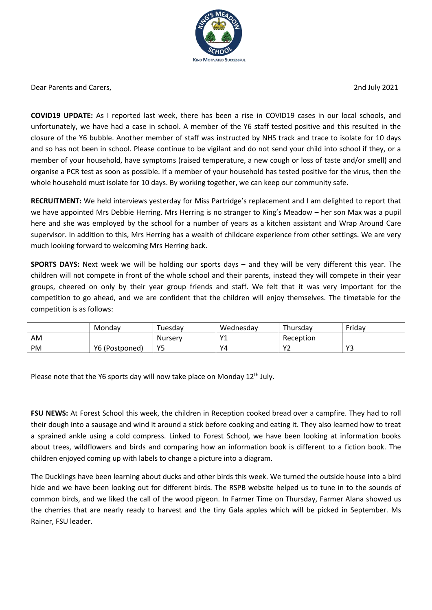

Dear Parents and Carers, 2nd July 2021

**COVID19 UPDATE:** As I reported last week, there has been a rise in COVID19 cases in our local schools, and unfortunately, we have had a case in school. A member of the Y6 staff tested positive and this resulted in the closure of the Y6 bubble. Another member of staff was instructed by NHS track and trace to isolate for 10 days and so has not been in school. Please continue to be vigilant and do not send your child into school if they, or a member of your household, have symptoms (raised temperature, a new cough or loss of taste and/or smell) and organise a PCR test as soon as possible. If a member of your household has tested positive for the virus, then the whole household must isolate for 10 days. By working together, we can keep our community safe.

**RECRUITMENT:** We held interviews yesterday for Miss Partridge's replacement and I am delighted to report that we have appointed Mrs Debbie Herring. Mrs Herring is no stranger to King's Meadow – her son Max was a pupil here and she was employed by the school for a number of years as a kitchen assistant and Wrap Around Care supervisor. In addition to this, Mrs Herring has a wealth of childcare experience from other settings. We are very much looking forward to welcoming Mrs Herring back.

**SPORTS DAYS:** Next week we will be holding our sports days – and they will be very different this year. The children will not compete in front of the whole school and their parents, instead they will compete in their year groups, cheered on only by their year group friends and staff. We felt that it was very important for the competition to go ahead, and we are confident that the children will enjoy themselves. The timetable for the competition is as follows:

|    | Mondav         | <sup>-</sup> uesdav | Wednesdav    | Thursday               | Friday              |
|----|----------------|---------------------|--------------|------------------------|---------------------|
| AM |                | Nurserv             | $\mathsf{v}$ | Reception              |                     |
| PM | Y6 (Postponed) | Y5                  | YΔ           | $\sqrt{ }$<br><u>.</u> | $\mathbf{v}$<br>ر ا |

Please note that the Y6 sports day will now take place on Monday 12<sup>th</sup> July.

**FSU NEWS:** At Forest School this week, the children in Reception cooked bread over a campfire. They had to roll their dough into a sausage and wind it around a stick before cooking and eating it. They also learned how to treat a sprained ankle using a cold compress. Linked to Forest School, we have been looking at information books about trees, wildflowers and birds and comparing how an information book is different to a fiction book. The children enjoyed coming up with labels to change a picture into a diagram.

The Ducklings have been learning about ducks and other birds this week. We turned the outside house into a bird hide and we have been looking out for different birds. The RSPB website helped us to tune in to the sounds of common birds, and we liked the call of the wood pigeon. In Farmer Time on Thursday, Farmer Alana showed us the cherries that are nearly ready to harvest and the tiny Gala apples which will be picked in September. Ms Rainer, FSU leader.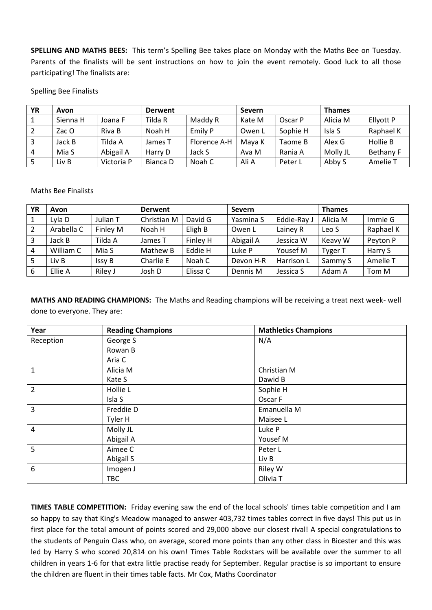**SPELLING AND MATHS BEES:** This term's Spelling Bee takes place on Monday with the Maths Bee on Tuesday. Parents of the finalists will be sent instructions on how to join the event remotely. Good luck to all those participating! The finalists are:

Spelling Bee Finalists

| <b>YR</b> | Avon     |            | <b>Derwent</b> |              | <b>Severn</b> |          | <b>Thames</b> |                  |
|-----------|----------|------------|----------------|--------------|---------------|----------|---------------|------------------|
|           | Sienna H | Joana F    | Tilda R        | Maddy R      | Kate M        | Oscar P  | Alicia M      | Ellyott P        |
|           | Zac O    | Riva B     | Noah H         | Emily P      | Owen L        | Sophie H | Isla S        | Raphael K        |
|           | Jack B   | Tilda A    | James T        | Florence A-H | Mava K        | Taome B  | Alex G        | Hollie B         |
| 4         | Mia S    | Abigail A  | Harry D        | Jack S       | Ava M         | Rania A  | Molly JL      | <b>Bethany F</b> |
|           | Liv B    | Victoria P | Bianca D       | Noah C       | Ali A         | Peter L  | Abby S        | Amelie T         |

Maths Bee Finalists

| ΥR             | Avon       |          | <b>Derwent</b> |          | <b>Severn</b> |             | <b>Thames</b>  |           |
|----------------|------------|----------|----------------|----------|---------------|-------------|----------------|-----------|
|                | Lyla D     | Julian T | Christian M    | David G  | Yasmina S     | Eddie-Ray J | Alicia M       | Immie G   |
|                | Arabella C | Finley M | Noah H         | Eligh B  | Owen L        | Lainey R    | Leo S          | Raphael K |
|                | Jack B     | Tilda A  | James T        | Finley H | Abigail A     | Jessica W   | Keavy W        | Peyton P  |
| $\overline{4}$ | William C  | Mia S    | Mathew B       | Eddie H  | Luke P        | Yousef M    | <b>Tyger T</b> | Harry S   |
|                | Liv B      | Issy B   | Charlie E      | Noah C   | Devon H-R     | Harrison L  | Sammy S        | Amelie T  |
| 6              | Ellie A    | Riley J  | Josh D         | Elissa C | Dennis M      | Jessica S   | Adam A         | Tom M     |

**MATHS AND READING CHAMPIONS:** The Maths and Reading champions will be receiving a treat next week- well done to everyone. They are:

| Year           | <b>Reading Champions</b> | <b>Mathletics Champions</b> |
|----------------|--------------------------|-----------------------------|
| Reception      | George S                 | N/A                         |
|                | Rowan B                  |                             |
|                | Aria C                   |                             |
| 1              | Alicia M                 | Christian M                 |
|                | Kate S                   | Dawid B                     |
| $\overline{2}$ | Hollie L                 | Sophie H                    |
|                | Isla S                   | Oscar F                     |
| 3              | Freddie D                | Emanuella M                 |
|                | Tyler H                  | Maisee L                    |
| 4              | Molly JL                 | Luke P                      |
|                | Abigail A                | Yousef M                    |
| 5              | Aimee C                  | Peter L                     |
|                | Abigail S                | Liv B                       |
| 6              | Imogen J                 | <b>Riley W</b>              |
|                | <b>TBC</b>               | Olivia T                    |

**TIMES TABLE COMPETITION:** Friday evening saw the end of the local schools' times table competition and I am so happy to say that King's Meadow managed to answer 403,732 times tables correct in five days! This put us in first place for the total amount of points scored and 29,000 above our closest rival! A special congratulations to the students of Penguin Class who, on average, scored more points than any other class in Bicester and this was led by Harry S who scored 20,814 on his own! Times Table Rockstars will be available over the summer to all children in years 1-6 for that extra little practise ready for September. Regular practise is so important to ensure the children are fluent in their times table facts. Mr Cox, Maths Coordinator